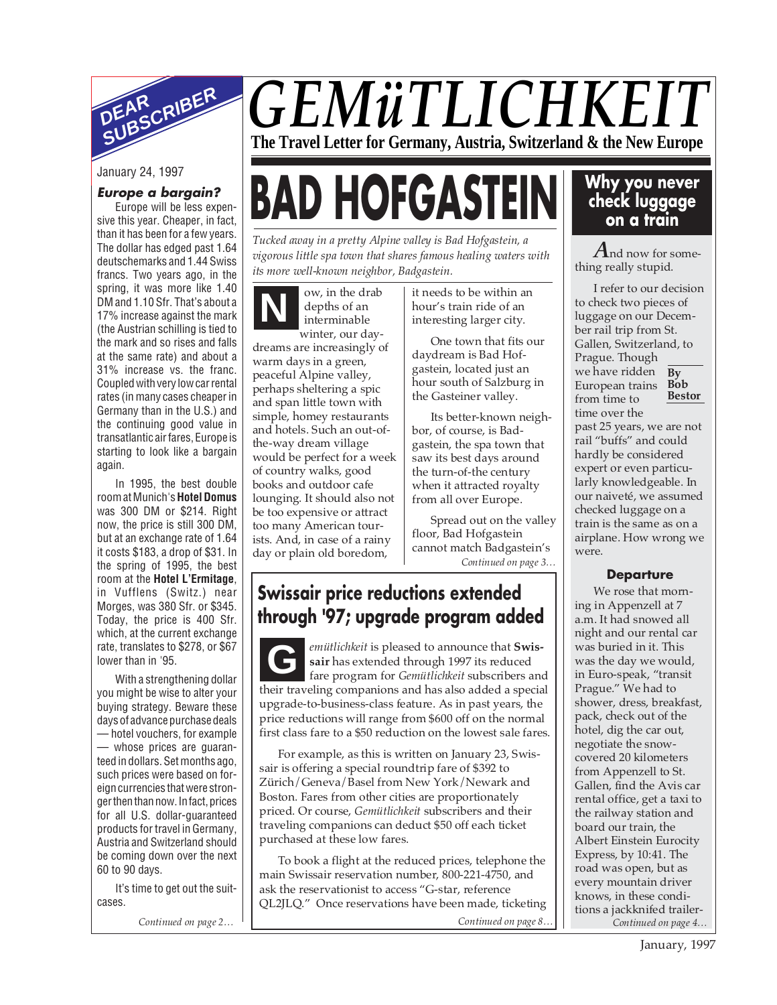

#### January 24, 1997

#### **Europe a bargain?** Europe will be less expen-

sive this year. Cheaper, in fact, than it has been for a few years. The dollar has edged past 1.64 deutschemarks and 1.44 Swiss francs. Two years ago, in the spring, it was more like 1.40 DM and 1.10 Sfr. That's about a 17% increase against the mark (the Austrian schilling is tied to the mark and so rises and falls at the same rate) and about a 31% increase vs. the franc. Coupled with very low car rental rates (in many cases cheaper in Germany than in the U.S.) and the continuing good value in transatlantic air fares, Europe is starting to look like a bargain again.

In 1995, the best double room at Munich's **Hotel Domus** was 300 DM or \$214. Right now, the price is still 300 DM, but at an exchange rate of 1.64 it costs \$183, a drop of \$31. In the spring of 1995, the best room at the **Hotel L'Ermitage**, in Vufflens (Switz.) near Morges, was 380 Sfr. or \$345. Today, the price is 400 Sfr. which, at the current exchange rate, translates to \$278, or \$67 lower than in '95.

With a strengthening dollar you might be wise to alter your buying strategy. Beware these days of advance purchase deals — hotel vouchers, for example — whose prices are guaranteed in dollars. Set months ago, such prices were based on foreign currencies that were stronger then than now. In fact, prices for all U.S. dollar-guaranteed products for travel in Germany, Austria and Switzerland should be coming down over the next 60 to 90 days.

It's time to get out the suitcases.

*Continued on page 2… Continued on page 8…*

# *GEMüTLICHKEIT* **The Travel Letter for Germany, Austria, Switzerland & the New Europe**

# **BAD HOFGASTEIN**

*Tucked away in a pretty Alpine valley is Bad Hofgastein, a vigorous little spa town that shares famous healing waters with its more well-known neighbor, Badgastein.*

**N** ow, in the drab depths of an interminable winter, our daydreams are increasingly of warm days in a green, peaceful Alpine valley, perhaps sheltering a spic and span little town with simple, homey restaurants and hotels. Such an out-ofthe-way dream village would be perfect for a week of country walks, good books and outdoor cafe lounging. It should also not be too expensive or attract too many American tourists. And, in case of a rainy day or plain old boredom,

it needs to be within an hour's train ride of an interesting larger city.

One town that fits our daydream is Bad Hofgastein, located just an hour south of Salzburg in the Gasteiner valley.

Its better-known neighbor, of course, is Badgastein, the spa town that saw its best days around the turn-of-the century when it attracted royalty from all over Europe.

Spread out on the valley floor, Bad Hofgastein cannot match Badgastein's *Continued on page 3…*

## **Swissair price reductions extended through '97; upgrade program added**

*emütlichkeit* is pleased to announce that **Swissair** has extended through 1997 its reduced fare program for *Gemütlichkeit* subscribers and their traveling companions and has also added a special upgrade-to-business-class feature. As in past years, the price reductions will range from \$600 off on the normal first class fare to a \$50 reduction on the lowest sale fares. **G**

For example, as this is written on January 23, Swissair is offering a special roundtrip fare of \$392 to Zürich/Geneva/Basel from New York/Newark and Boston. Fares from other cities are proportionately priced. Or course, *Gemütlichkeit* subscribers and their traveling companions can deduct \$50 off each ticket purchased at these low fares.

To book a flight at the reduced prices, telephone the main Swissair reservation number, 800-221-4750, and ask the reservationist to access "G-star, reference QL2JLQ." Once reservations have been made, ticketing

### **Why you never check luggage on a train**

*A*nd now for something really stupid.

**By** European trains **Bob Bestor** I refer to our decision to check two pieces of luggage on our December rail trip from St. Gallen, Switzerland, to Prague. Though we have ridden from time to time over the past 25 years, we are not rail "buffs" and could hardly be considered expert or even particularly knowledgeable. In our naiveté, we assumed checked luggage on a train is the same as on a airplane. How wrong we

#### **Departure**

were.

We rose that morning in Appenzell at 7 a.m. It had snowed all night and our rental car was buried in it. This was the day we would, in Euro-speak, "transit Prague." We had to shower, dress, breakfast, pack, check out of the hotel, dig the car out, negotiate the snowcovered 20 kilometers from Appenzell to St. Gallen, find the Avis car rental office, get a taxi to the railway station and board our train, the Albert Einstein Eurocity Express, by 10:41. The road was open, but as every mountain driver knows, in these conditions a jackknifed trailer-*Continued on page 4…*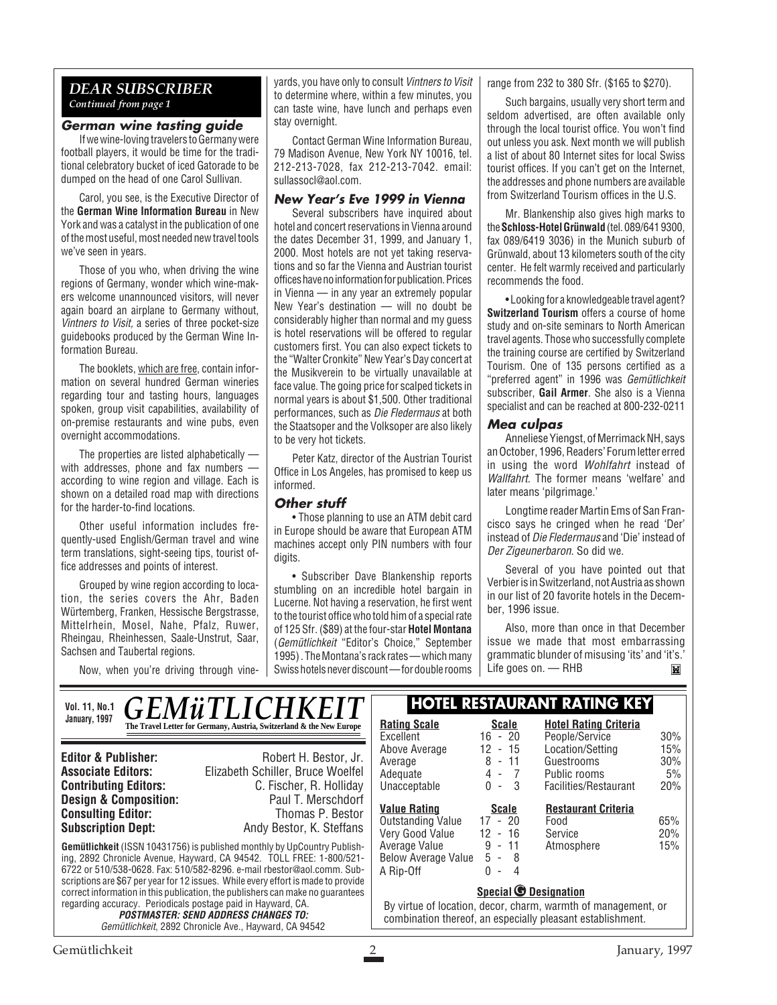#### *DEAR SUBSCRIBER Continued from page 1*

#### **German wine tasting guide**

If we wine-loving travelers to Germany were football players, it would be time for the traditional celebratory bucket of iced Gatorade to be dumped on the head of one Carol Sullivan.

Carol, you see, is the Executive Director of the **German Wine Information Bureau** in New York and was a catalyst in the publication of one of the most useful, most needed new travel tools we've seen in years.

Those of you who, when driving the wine regions of Germany, wonder which wine-makers welcome unannounced visitors, will never again board an airplane to Germany without, Vintners to Visit, a series of three pocket-size guidebooks produced by the German Wine Information Bureau.

The booklets, which are free, contain information on several hundred German wineries regarding tour and tasting hours, languages spoken, group visit capabilities, availability of on-premise restaurants and wine pubs, even overnight accommodations.

The properties are listed alphabetically with addresses, phone and fax numbers according to wine region and village. Each is shown on a detailed road map with directions for the harder-to-find locations.

Other useful information includes frequently-used English/German travel and wine term translations, sight-seeing tips, tourist office addresses and points of interest.

Grouped by wine region according to location, the series covers the Ahr, Baden Würtemberg, Franken, Hessische Bergstrasse, Mittelrhein, Mosel, Nahe, Pfalz, Ruwer, Rheingau, Rheinhessen, Saale-Unstrut, Saar, Sachsen and Taubertal regions.

Now, when you're driving through vine-

yards, you have only to consult Vintners to Visit to determine where, within a few minutes, you can taste wine, have lunch and perhaps even stay overnight.

Contact German Wine Information Bureau, 79 Madison Avenue, New York NY 10016, tel. 212-213-7028, fax 212-213-7042. email: sullassocl@aol.com.

#### **New Year's Eve 1999 in Vienna**

Several subscribers have inquired about hotel and concert reservations in Vienna around the dates December 31, 1999, and January 1, 2000. Most hotels are not yet taking reservations and so far the Vienna and Austrian tourist offices have no information for publication. Prices in Vienna — in any year an extremely popular New Year's destination — will no doubt be considerably higher than normal and my guess is hotel reservations will be offered to regular customers first. You can also expect tickets to the "Walter Cronkite" New Year's Day concert at the Musikverein to be virtually unavailable at face value. The going price for scalped tickets in normal years is about \$1,500. Other traditional performances, such as Die Fledermaus at both the Staatsoper and the Volksoper are also likely to be very hot tickets.

Peter Katz, director of the Austrian Tourist Office in Los Angeles, has promised to keep us informed.

#### **Other stuff**

• Those planning to use an ATM debit card in Europe should be aware that European ATM machines accept only PIN numbers with four digits.

• Subscriber Dave Blankenship reports stumbling on an incredible hotel bargain in Lucerne. Not having a reservation, he first went to the tourist office who told him of a special rate of 125 Sfr. (\$89) at the four-star **Hotel Montana** (Gemütlichkeit "Editor's Choice," September 1995) . The Montana's rack rates — which many Swiss hotels never discount — for double rooms range from 232 to 380 Sfr. (\$165 to \$270).

Such bargains, usually very short term and seldom advertised, are often available only through the local tourist office. You won't find out unless you ask. Next month we will publish a list of about 80 Internet sites for local Swiss tourist offices. If you can't get on the Internet, the addresses and phone numbers are available from Switzerland Tourism offices in the U.S.

Mr. Blankenship also gives high marks to the **Schloss-Hotel Grünwald**(tel. 089/641 9300, fax 089/6419 3036) in the Munich suburb of Grünwald, about 13 kilometers south of the city center. He felt warmly received and particularly recommends the food.

• Looking for a knowledgeable travel agent? **Switzerland Tourism** offers a course of home study and on-site seminars to North American travel agents. Those who successfully complete the training course are certified by Switzerland Tourism. One of 135 persons certified as a "preferred agent" in 1996 was Gemütlichkeit subscriber, **Gail Armer**. She also is a Vienna specialist and can be reached at 800-232-0211

#### **Mea culpas**

Anneliese Yiengst, of Merrimack NH, says an October, 1996, Readers' Forum letter erred in using the word Wohlfahrt instead of Wallfahrt. The former means 'welfare' and later means 'pilgrimage.'

Longtime reader Martin Ems of San Francisco says he cringed when he read 'Der' instead of Die Fledermaus and 'Die' instead of Der Zigeunerbaron. So did we.

Several of you have pointed out that Verbier is in Switzerland, not Austria as shown in our list of 20 favorite hotels in the December, 1996 issue.

Also, more than once in that December issue we made that most embarrassing grammatic blunder of misusing 'its' and 'it's.' Life goes on. — RHBM

| <b>Vol. 11, No.1</b>                                                                                                                                                                                                                                                                                                   | <i><b>GEMÜTLICHKEIT</b></i>                                          | <b>HOTEL RESTAURANT RATING KEY</b>                                                                                                                          |                                                            |                                                |            |
|------------------------------------------------------------------------------------------------------------------------------------------------------------------------------------------------------------------------------------------------------------------------------------------------------------------------|----------------------------------------------------------------------|-------------------------------------------------------------------------------------------------------------------------------------------------------------|------------------------------------------------------------|------------------------------------------------|------------|
| January, 1997                                                                                                                                                                                                                                                                                                          | The Travel Letter for Germany, Austria, Switzerland & the New Europe | <b>Rating Scale</b><br>Excellent                                                                                                                            | <b>Scale</b><br>$16 - 20$                                  | <b>Hotel Rating Criteria</b><br>People/Service | 30%        |
| <b>Editor &amp; Publisher:</b>                                                                                                                                                                                                                                                                                         | Robert H. Bestor, Jr.                                                | Above Average<br>Average                                                                                                                                    | 12<br>- 15<br>8<br>$-11$                                   | Location/Setting<br>Guestrooms                 | 15%<br>30% |
| <b>Associate Editors:</b><br><b>Contributing Editors:</b>                                                                                                                                                                                                                                                              | Elizabeth Schiller, Bruce Woelfel<br>C. Fischer, R. Holliday         | Adequate<br>Unacceptable                                                                                                                                    | $4 - 7$<br>$0 - 3$                                         | Public rooms<br>Facilities/Restaurant          | 5%<br>20%  |
| <b>Design &amp; Composition:</b><br><b>Consulting Editor:</b><br><b>Subscription Dept:</b>                                                                                                                                                                                                                             | Paul T. Merschdorf<br>Thomas P. Bestor<br>Andy Bestor, K. Steffans   | <b>Value Rating</b><br>Outstanding Value<br>Very Good Value                                                                                                 | <b>Scale</b><br>$17 - 20$<br>12<br>- 16                    | <b>Restaurant Criteria</b><br>Food<br>Service  | 65%<br>20% |
| <b>Gemütlichkeit</b> (ISSN 10431756) is published monthly by UpCountry Publish-<br>ing, 2892 Chronicle Avenue, Hayward, CA 94542. TOLL FREE: 1-800/521-<br>6722 or 510/538-0628, Fax: 510/582-8296, e-mail rbestor@aol.comm, Sub-<br>scriptions are \$67 per year for 12 issues. While every effort is made to provide |                                                                      | Average Value<br><b>Below Average Value</b><br>A Rip-Off                                                                                                    | 9<br>- 11<br>$5 - 8$<br>0<br>4<br>$\overline{\phantom{a}}$ | Atmosphere                                     | 15%        |
| correct information in this publication, the publishers can make no quarantees<br>regarding accuracy. Periodicals postage paid in Hayward, CA.<br><b>POSTMASTER: SEND ADDRESS CHANGES TO:</b><br>Gemütlichkeit, 2892 Chronicle Ave., Hayward, CA 94542                                                                 |                                                                      | <b>Special © Designation</b><br>By virtue of location, decor, charm, warmth of management, or<br>combination thereof, an especially pleasant establishment. |                                                            |                                                |            |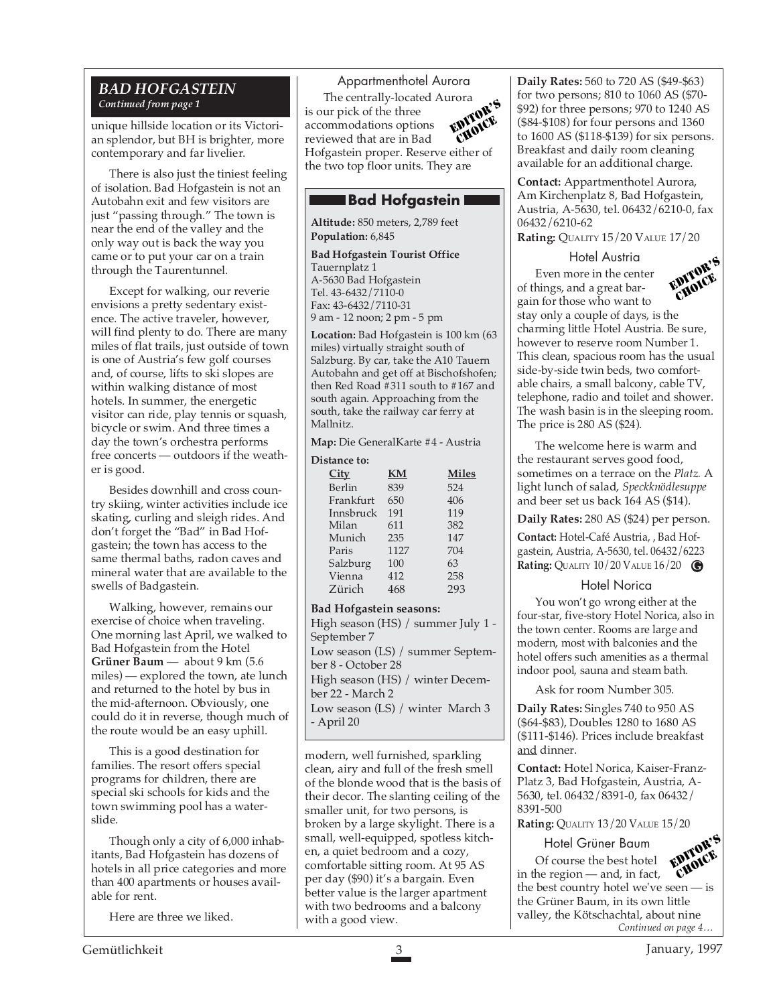#### *BAD HOFGASTEIN Continued from page 1*

unique hillside location or its Victorian splendor, but BH is brighter, more contemporary and far livelier.

There is also just the tiniest feeling of isolation. Bad Hofgastein is not an Autobahn exit and few visitors are just "passing through." The town is near the end of the valley and the only way out is back the way you came or to put your car on a train through the Taurentunnel.

Except for walking, our reverie envisions a pretty sedentary existence. The active traveler, however, will find plenty to do. There are many miles of flat trails, just outside of town is one of Austria's few golf courses and, of course, lifts to ski slopes are within walking distance of most hotels. In summer, the energetic visitor can ride, play tennis or squash, bicycle or swim. And three times a day the town's orchestra performs free concerts — outdoors if the weather is good.

Besides downhill and cross country skiing, winter activities include ice skating, curling and sleigh rides. And don't forget the "Bad" in Bad Hofgastein; the town has access to the same thermal baths, radon caves and mineral water that are available to the swells of Badgastein.

Walking, however, remains our exercise of choice when traveling. One morning last April, we walked to Bad Hofgastein from the Hotel **Grüner Baum** — about 9 km (5.6 miles) — explored the town, ate lunch and returned to the hotel by bus in the mid-afternoon. Obviously, one could do it in reverse, though much of the route would be an easy uphill.

This is a good destination for families. The resort offers special programs for children, there are special ski schools for kids and the town swimming pool has a waterslide.

Though only a city of 6,000 inhabitants, Bad Hofgastein has dozens of hotels in all price categories and more than 400 apartments or houses available for rent.

Here are three we liked.

EDITOR'S CHOICE Appartmenthotel Aurora The centrally-located Aurora is our pick of the three accommodations options reviewed that are in Bad Hofgastein proper. Reserve either of the two top floor units. They are

#### **Bad Hofgastein**

**Altitude:** 850 meters, 2,789 feet **Population:** 6,845

**Bad Hofgastein Tourist Office** Tauernplatz 1 A-5630 Bad Hofgastein Tel. 43-6432/7110-0 Fax: 43-6432/7110-31 9 am - 12 noon; 2 pm - 5 pm

**Location:** Bad Hofgastein is 100 km (63 miles) virtually straight south of Salzburg. By car, take the A10 Tauern Autobahn and get off at Bischofshofen; then Red Road #311 south to #167 and south again. Approaching from the south, take the railway car ferry at Mallnitz.

**Map:** Die GeneralKarte #4 - Austria **Distance to:**

| імансє ш.   |           |              |  |  |  |
|-------------|-----------|--------------|--|--|--|
| <b>City</b> | <b>KM</b> | <b>Miles</b> |  |  |  |
| Berlin      | 839       | 524          |  |  |  |
| Frankfurt   | 650       | 406          |  |  |  |
| Innsbruck   | 191       | 119          |  |  |  |
| Milan       | 611       | 382          |  |  |  |
| Munich      | 235       | 147          |  |  |  |
| Paris       | 1127      | 704          |  |  |  |
| Salzburg    | 100       | 63           |  |  |  |
| Vienna      | 412       | 258          |  |  |  |
| Zürich      |           | 293          |  |  |  |
|             |           |              |  |  |  |

**Bad Hofgastein seasons:** High season (HS) / summer July 1 - September 7 Low season (LS) / summer September 8 - October 28 High season (HS) / winter December 22 - March 2 Low season (LS) / winter March 3 - April 20

modern, well furnished, sparkling clean, airy and full of the fresh smell of the blonde wood that is the basis of their decor. The slanting ceiling of the smaller unit, for two persons, is broken by a large skylight. There is a small, well-equipped, spotless kitchen, a quiet bedroom and a cozy, comfortable sitting room. At 95 AS per day (\$90) it's a bargain. Even better value is the larger apartment with two bedrooms and a balcony with a good view.

**Daily Rates:** 560 to 720 AS (\$49-\$63) for two persons; 810 to 1060 AS (\$70- \$92) for three persons; 970 to 1240 AS (\$84-\$108) for four persons and 1360 to 1600 AS (\$118-\$139) for six persons. Breakfast and daily room cleaning available for an additional charge.

**Contact:** Appartmenthotel Aurora, Am Kirchenplatz 8, Bad Hofgastein, Austria, A-5630, tel. 06432/6210-0, fax 06432/6210-62

**Rating:** QUALITY 15/20 VALUE 17/20

Hotel Austria



Even more in the center of things, and a great bargain for those who want to stay only a couple of days, is the charming little Hotel Austria. Be sure, however to reserve room Number 1. This clean, spacious room has the usual side-by-side twin beds, two comfortable chairs, a small balcony, cable TV, telephone, radio and toilet and shower. The wash basin is in the sleeping room. The price is 280 AS (\$24).

The welcome here is warm and the restaurant serves good food, sometimes on a terrace on the *Platz.* A light lunch of salad, *Speckknödlesuppe* and beer set us back 164 AS (\$14).

**Daily Rates:** 280 AS (\$24) per person.

**Contact:** Hotel-Café Austria, , Bad Hofgastein, Austria, A-5630, tel. 06432/6223 **Rating:** QUALITY 10/20 VALUE 16/20 **G**

#### Hotel Norica

You won't go wrong either at the four-star, five-story Hotel Norica, also in the town center. Rooms are large and modern, most with balconies and the hotel offers such amenities as a thermal indoor pool, sauna and steam bath.

Ask for room Number 305.

**Daily Rates:** Singles 740 to 950 AS (\$64-\$83), Doubles 1280 to 1680 AS (\$111-\$146). Prices include breakfast and dinner.

**Contact:** Hotel Norica, Kaiser-Franz-Platz 3, Bad Hofgastein, Austria, A-5630, tel. 06432/8391-0, fax 06432/ 8391-500

**Rating:** QUALITY 13/20 VALUE 15/20

*Continued on page 4…* Hotel Grüner Baum Of course the best hotel in the region — and, in fact, the best country hotel we've seen — is the Grüner Baum, in its own little valley, the Kötschachtal, about nine EDITOR'S CHOICE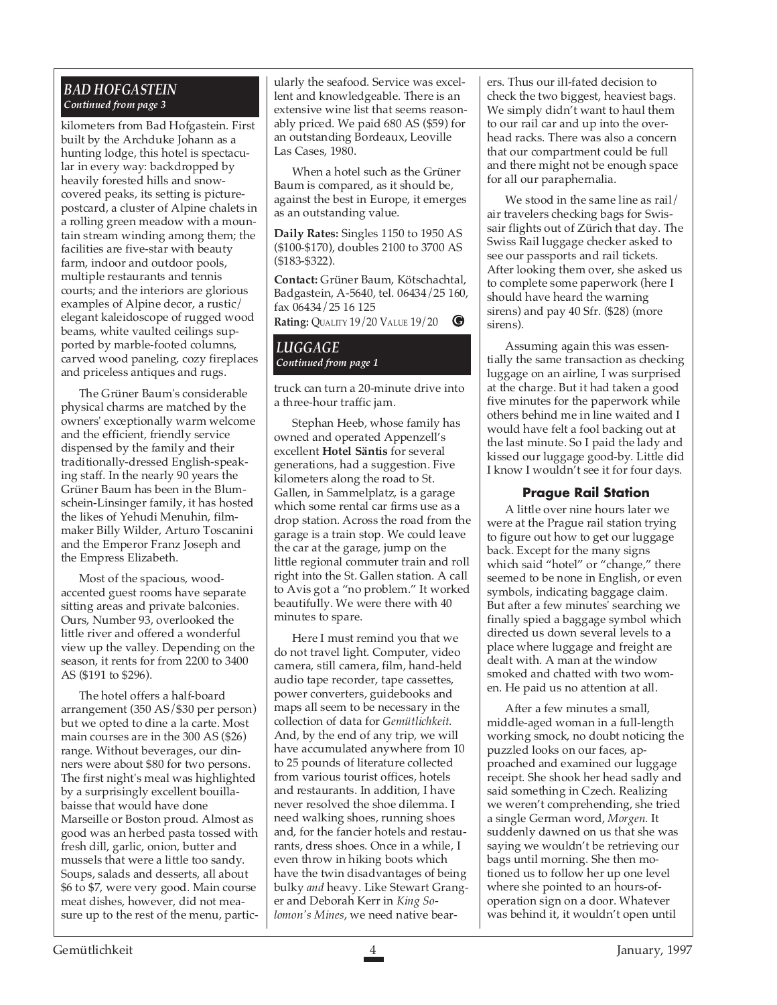#### *BAD HOFGASTEIN Continued from page 3*

kilometers from Bad Hofgastein. First built by the Archduke Johann as a hunting lodge, this hotel is spectacular in every way: backdropped by heavily forested hills and snowcovered peaks, its setting is picturepostcard, a cluster of Alpine chalets in a rolling green meadow with a mountain stream winding among them; the facilities are five-star with beauty farm, indoor and outdoor pools, multiple restaurants and tennis courts; and the interiors are glorious examples of Alpine decor, a rustic/ elegant kaleidoscope of rugged wood beams, white vaulted ceilings supported by marble-footed columns, carved wood paneling, cozy fireplaces and priceless antiques and rugs.

The Grüner Baum's considerable physical charms are matched by the owners' exceptionally warm welcome and the efficient, friendly service dispensed by the family and their traditionally-dressed English-speaking staff. In the nearly 90 years the Grüner Baum has been in the Blumschein-Linsinger family, it has hosted the likes of Yehudi Menuhin, filmmaker Billy Wilder, Arturo Toscanini and the Emperor Franz Joseph and the Empress Elizabeth.

Most of the spacious, woodaccented guest rooms have separate sitting areas and private balconies. Ours, Number 93, overlooked the little river and offered a wonderful view up the valley. Depending on the season, it rents for from 2200 to 3400 AS (\$191 to \$296).

The hotel offers a half-board arrangement (350 AS/\$30 per person) but we opted to dine a la carte. Most main courses are in the 300 AS (\$26) range. Without beverages, our dinners were about \$80 for two persons. The first night's meal was highlighted by a surprisingly excellent bouillabaisse that would have done Marseille or Boston proud. Almost as good was an herbed pasta tossed with fresh dill, garlic, onion, butter and mussels that were a little too sandy. Soups, salads and desserts, all about \$6 to \$7, were very good. Main course meat dishes, however, did not measure up to the rest of the menu, partic-

ularly the seafood. Service was excellent and knowledgeable. There is an extensive wine list that seems reasonably priced. We paid 680 AS (\$59) for an outstanding Bordeaux, Leoville Las Cases, 1980.

When a hotel such as the Grüner Baum is compared, as it should be, against the best in Europe, it emerges as an outstanding value.

**Daily Rates:** Singles 1150 to 1950 AS (\$100-\$170), doubles 2100 to 3700 AS (\$183-\$322).

**Contact:** Grüner Baum, Kötschachtal, Badgastein, A-5640, tel. 06434/25 160, fax 06434/25 16 125 **Rating:** QUALITY 19/20 VALUE 19/20 **G**

#### *LUGGAGE Continued from page 1*

truck can turn a 20-minute drive into a three-hour traffic jam.

Stephan Heeb, whose family has owned and operated Appenzell's excellent **Hotel Säntis** for several generations, had a suggestion. Five kilometers along the road to St. Gallen, in Sammelplatz, is a garage which some rental car firms use as a drop station. Across the road from the garage is a train stop. We could leave the car at the garage, jump on the little regional commuter train and roll right into the St. Gallen station. A call to Avis got a "no problem." It worked beautifully. We were there with 40 minutes to spare.

Here I must remind you that we do not travel light. Computer, video camera, still camera, film, hand-held audio tape recorder, tape cassettes, power converters, guidebooks and maps all seem to be necessary in the collection of data for *Gemütlichkeit*. And, by the end of any trip, we will have accumulated anywhere from 10 to 25 pounds of literature collected from various tourist offices, hotels and restaurants. In addition, I have never resolved the shoe dilemma. I need walking shoes, running shoes and, for the fancier hotels and restaurants, dress shoes. Once in a while, I even throw in hiking boots which have the twin disadvantages of being bulky *and* heavy. Like Stewart Granger and Deborah Kerr in *King Solomon's Mines*, we need native bearers. Thus our ill-fated decision to check the two biggest, heaviest bags. We simply didn't want to haul them to our rail car and up into the overhead racks. There was also a concern that our compartment could be full and there might not be enough space for all our paraphernalia.

We stood in the same line as rail/ air travelers checking bags for Swissair flights out of Zürich that day. The Swiss Rail luggage checker asked to see our passports and rail tickets. After looking them over, she asked us to complete some paperwork (here I should have heard the warning sirens) and pay 40 Sfr. (\$28) (more sirens).

Assuming again this was essentially the same transaction as checking luggage on an airline, I was surprised at the charge. But it had taken a good five minutes for the paperwork while others behind me in line waited and I would have felt a fool backing out at the last minute. So I paid the lady and kissed our luggage good-by. Little did I know I wouldn't see it for four days.

#### **Prague Rail Station**

A little over nine hours later we were at the Prague rail station trying to figure out how to get our luggage back. Except for the many signs which said "hotel" or "change," there seemed to be none in English, or even symbols, indicating baggage claim. But after a few minutes' searching we finally spied a baggage symbol which directed us down several levels to a place where luggage and freight are dealt with. A man at the window smoked and chatted with two women. He paid us no attention at all.

After a few minutes a small, middle-aged woman in a full-length working smock, no doubt noticing the puzzled looks on our faces, approached and examined our luggage receipt. She shook her head sadly and said something in Czech. Realizing we weren't comprehending, she tried a single German word, *Morgen*. It suddenly dawned on us that she was saying we wouldn't be retrieving our bags until morning. She then motioned us to follow her up one level where she pointed to an hours-ofoperation sign on a door. Whatever was behind it, it wouldn't open until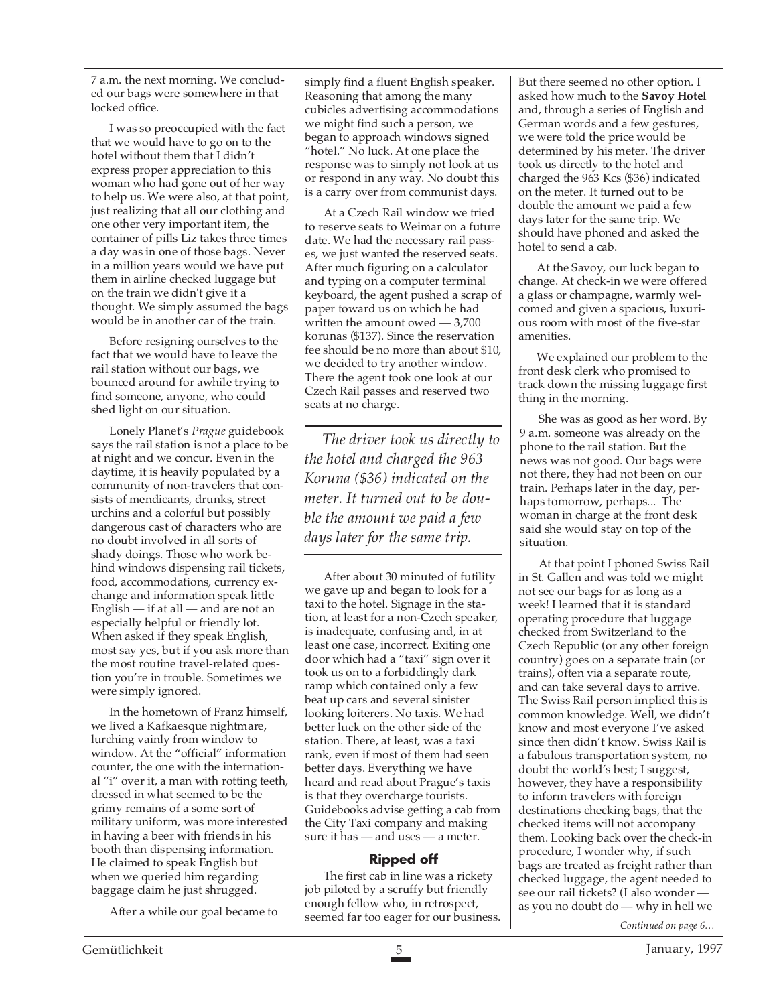7 a.m. the next morning. We concluded our bags were somewhere in that locked office.

I was so preoccupied with the fact that we would have to go on to the hotel without them that I didn't express proper appreciation to this woman who had gone out of her way to help us. We were also, at that point, just realizing that all our clothing and one other very important item, the container of pills Liz takes three times a day was in one of those bags. Never in a million years would we have put them in airline checked luggage but on the train we didn't give it a thought. We simply assumed the bags would be in another car of the train.

Before resigning ourselves to the fact that we would have to leave the rail station without our bags, we bounced around for awhile trying to find someone, anyone, who could shed light on our situation.

Lonely Planet's *Prague* guidebook says the rail station is not a place to be at night and we concur. Even in the daytime, it is heavily populated by a community of non-travelers that consists of mendicants, drunks, street urchins and a colorful but possibly dangerous cast of characters who are no doubt involved in all sorts of shady doings. Those who work behind windows dispensing rail tickets, food, accommodations, currency exchange and information speak little English — if at all — and are not an especially helpful or friendly lot. When asked if they speak English, most say yes, but if you ask more than the most routine travel-related question you're in trouble. Sometimes we were simply ignored.

In the hometown of Franz himself, we lived a Kafkaesque nightmare, lurching vainly from window to window. At the "official" information counter, the one with the international "i" over it, a man with rotting teeth, dressed in what seemed to be the grimy remains of a some sort of military uniform, was more interested in having a beer with friends in his booth than dispensing information. He claimed to speak English but when we queried him regarding baggage claim he just shrugged.

After a while our goal became to

simply find a fluent English speaker. Reasoning that among the many cubicles advertising accommodations we might find such a person, we began to approach windows signed "hotel." No luck. At one place the response was to simply not look at us or respond in any way. No doubt this is a carry over from communist days.

At a Czech Rail window we tried to reserve seats to Weimar on a future date. We had the necessary rail passes, we just wanted the reserved seats. After much figuring on a calculator and typing on a computer terminal keyboard, the agent pushed a scrap of paper toward us on which he had written the amount owed — 3,700 korunas (\$137). Since the reservation fee should be no more than about \$10, we decided to try another window. There the agent took one look at our Czech Rail passes and reserved two seats at no charge.

*The driver took us directly to the hotel and charged the 963 Koruna (\$36) indicated on the meter. It turned out to be double the amount we paid a few days later for the same trip.*

After about 30 minuted of futility we gave up and began to look for a taxi to the hotel. Signage in the station, at least for a non-Czech speaker, is inadequate, confusing and, in at least one case, incorrect. Exiting one door which had a "taxi" sign over it took us on to a forbiddingly dark ramp which contained only a few beat up cars and several sinister looking loiterers. No taxis. We had better luck on the other side of the station. There, at least, was a taxi rank, even if most of them had seen better days. Everything we have heard and read about Prague's taxis is that they overcharge tourists. Guidebooks advise getting a cab from the City Taxi company and making sure it has — and uses — a meter.

#### **Ripped off**

The first cab in line was a rickety job piloted by a scruffy but friendly enough fellow who, in retrospect, seemed far too eager for our business. But there seemed no other option. I asked how much to the **Savoy Hotel** and, through a series of English and German words and a few gestures, we were told the price would be determined by his meter. The driver took us directly to the hotel and charged the 963 Kcs (\$36) indicated on the meter. It turned out to be double the amount we paid a few days later for the same trip. We should have phoned and asked the hotel to send a cab.

At the Savoy, our luck began to change. At check-in we were offered a glass or champagne, warmly welcomed and given a spacious, luxurious room with most of the five-star amenities.

We explained our problem to the front desk clerk who promised to track down the missing luggage first thing in the morning.

She was as good as her word. By 9 a.m. someone was already on the phone to the rail station. But the news was not good. Our bags were not there, they had not been on our train. Perhaps later in the day, perhaps tomorrow, perhaps... The woman in charge at the front desk said she would stay on top of the situation.

At that point I phoned Swiss Rail in St. Gallen and was told we might not see our bags for as long as a week! I learned that it is standard operating procedure that luggage checked from Switzerland to the Czech Republic (or any other foreign country) goes on a separate train (or trains), often via a separate route, and can take several days to arrive. The Swiss Rail person implied this is common knowledge. Well, we didn't know and most everyone I've asked since then didn't know. Swiss Rail is a fabulous transportation system, no doubt the world's best; I suggest, however, they have a responsibility to inform travelers with foreign destinations checking bags, that the checked items will not accompany them. Looking back over the check-in procedure, I wonder why, if such bags are treated as freight rather than checked luggage, the agent needed to see our rail tickets? (I also wonder as you no doubt do — why in hell we

*Continued on page 6…*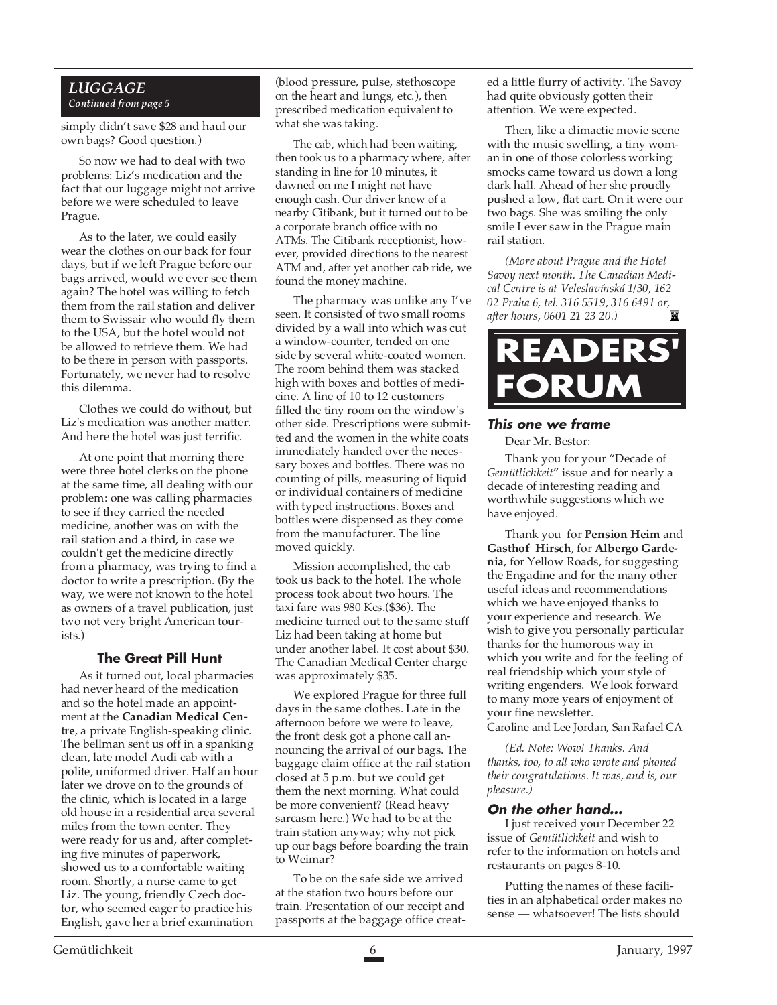#### *LUGGAGE Continued from page 5*

simply didn't save \$28 and haul our own bags? Good question.)

So now we had to deal with two problems: Liz's medication and the fact that our luggage might not arrive before we were scheduled to leave Prague.

As to the later, we could easily wear the clothes on our back for four days, but if we left Prague before our bags arrived, would we ever see them again? The hotel was willing to fetch them from the rail station and deliver them to Swissair who would fly them to the USA, but the hotel would not be allowed to retrieve them. We had to be there in person with passports. Fortunately, we never had to resolve this dilemma.

Clothes we could do without, but Liz's medication was another matter. And here the hotel was just terrific.

At one point that morning there were three hotel clerks on the phone at the same time, all dealing with our problem: one was calling pharmacies to see if they carried the needed medicine, another was on with the rail station and a third, in case we couldn't get the medicine directly from a pharmacy, was trying to find a doctor to write a prescription. (By the way, we were not known to the hotel as owners of a travel publication, just two not very bright American tourists.)

#### **The Great Pill Hunt**

As it turned out, local pharmacies had never heard of the medication and so the hotel made an appointment at the **Canadian Medical Centre**, a private English-speaking clinic. The bellman sent us off in a spanking clean, late model Audi cab with a polite, uniformed driver. Half an hour later we drove on to the grounds of the clinic, which is located in a large old house in a residential area several miles from the town center. They were ready for us and, after completing five minutes of paperwork, showed us to a comfortable waiting room. Shortly, a nurse came to get Liz. The young, friendly Czech doctor, who seemed eager to practice his English, gave her a brief examination

(blood pressure, pulse, stethoscope on the heart and lungs, etc.), then prescribed medication equivalent to what she was taking.

The cab, which had been waiting, then took us to a pharmacy where, after standing in line for 10 minutes, it dawned on me I might not have enough cash. Our driver knew of a nearby Citibank, but it turned out to be a corporate branch office with no ATMs. The Citibank receptionist, however, provided directions to the nearest ATM and, after yet another cab ride, we found the money machine.

The pharmacy was unlike any I've seen. It consisted of two small rooms divided by a wall into which was cut a window-counter, tended on one side by several white-coated women. The room behind them was stacked high with boxes and bottles of medicine. A line of 10 to 12 customers filled the tiny room on the window's other side. Prescriptions were submitted and the women in the white coats immediately handed over the necessary boxes and bottles. There was no counting of pills, measuring of liquid or individual containers of medicine with typed instructions. Boxes and bottles were dispensed as they come from the manufacturer. The line moved quickly.

Mission accomplished, the cab took us back to the hotel. The whole process took about two hours. The taxi fare was 980 Kcs.(\$36). The medicine turned out to the same stuff Liz had been taking at home but under another label. It cost about \$30. The Canadian Medical Center charge was approximately \$35.

We explored Prague for three full days in the same clothes. Late in the afternoon before we were to leave, the front desk got a phone call announcing the arrival of our bags. The baggage claim office at the rail station closed at 5 p.m. but we could get them the next morning. What could be more convenient? (Read heavy sarcasm here.) We had to be at the train station anyway; why not pick up our bags before boarding the train to Weimar?

To be on the safe side we arrived at the station two hours before our train. Presentation of our receipt and passports at the baggage office creat-

ed a little flurry of activity. The Savoy had quite obviously gotten their attention. We were expected.

Then, like a climactic movie scene with the music swelling, a tiny woman in one of those colorless working smocks came toward us down a long dark hall. Ahead of her she proudly pushed a low, flat cart. On it were our two bags. She was smiling the only smile I ever saw in the Prague main rail station.

*(More about Prague and the Hotel Savoy next month. The Canadian Medical Centre is at Veleslavínská 1/30, 162 02 Praha 6, tel. 316 5519, 316 6491 or, after hours, 0601 21 23 20.)*



#### **This one we frame**

Dear Mr. Bestor:

Thank you for your "Decade of *Gemütlichkeit*" issue and for nearly a decade of interesting reading and worthwhile suggestions which we have enjoyed.

Thank you for **Pension Heim** and **Gasthof Hirsch**, for **Albergo Gardenia**, for Yellow Roads, for suggesting the Engadine and for the many other useful ideas and recommendations which we have enjoyed thanks to your experience and research. We wish to give you personally particular thanks for the humorous way in which you write and for the feeling of real friendship which your style of writing engenders. We look forward to many more years of enjoyment of your fine newsletter. Caroline and Lee Jordan, San Rafael CA

*(Ed. Note: Wow! Thanks. And thanks, too, to all who wrote and phoned their congratulations. It was, and is, our pleasure.)*

#### **On the other hand...**

I just received your December 22 issue of *Gemütlichkeit* and wish to refer to the information on hotels and restaurants on pages 8-10.

Putting the names of these facilities in an alphabetical order makes no sense — whatsoever! The lists should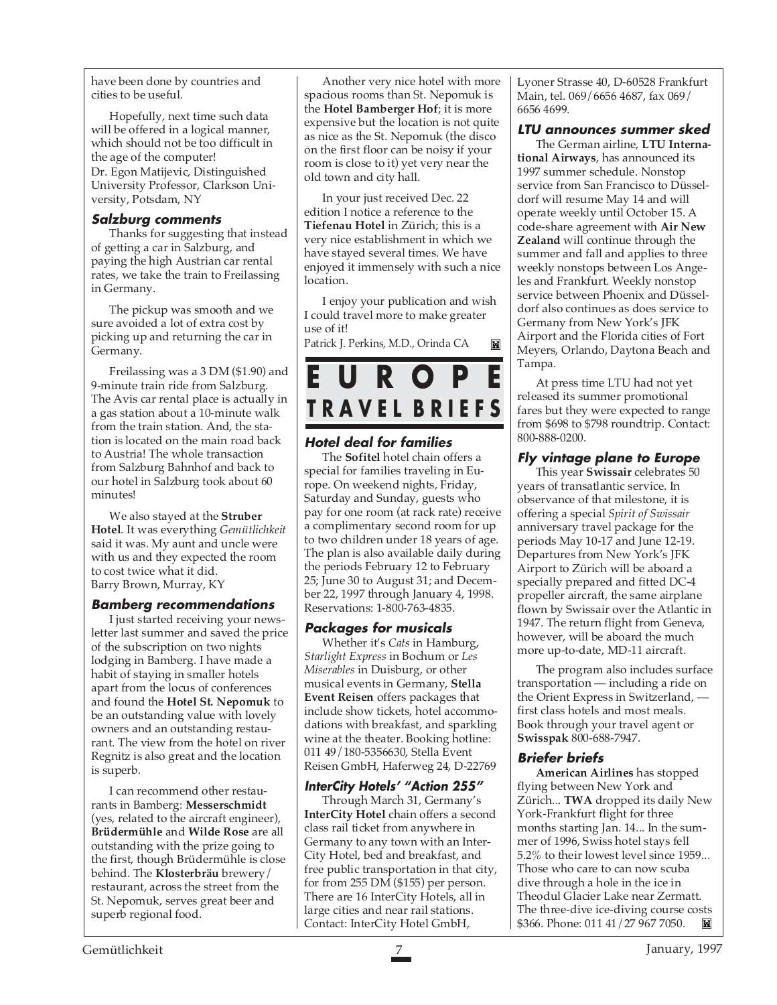have been done by countries and cities to be useful.

Hopefully, next time such data will be offered in a logical manner, which should not be too difficult in the age of the computer! Dr. Egon Matijevic, Distinguished University Professor, Clarkson University, Potsdam, NY

#### **Salzburg comments**

Thanks for suggesting that instead of getting a car in Salzburg, and paying the high Austrian car rental rates, we take the train to Freilassing in Germany.

The pickup was smooth and we sure avoided a lot of extra cost by picking up and returning the car in Germany.

Freilassing was a 3 DM (\$1.90) and 9-minute train ride from Salzburg. The Avis car rental place is actually in a gas station about a 10-minute walk from the train station. And, the station is located on the main road back to Austria! The whole transaction from Salzburg Bahnhof and back to our hotel in Salzburg took about 60 minutes!

We also stayed at the **Struber Hotel**. It was everything *Gemütlichkeit* said it was. My aunt and uncle were with us and they expected the room to cost twice what it did. Barry Brown, Murray, KY

#### **Bamberg recommendations**

I just started receiving your newsletter last summer and saved the price of the subscription on two nights lodging in Bamberg. I have made a habit of staying in smaller hotels apart from the locus of conferences and found the **Hotel St. Nepomuk** to be an outstanding value with lovely owners and an outstanding restaurant. The view from the hotel on river Regnitz is also great and the location is superb.

I can recommend other restaurants in Bamberg: **Messerschmidt** (yes, related to the aircraft engineer), **Brüdermühle** and **Wilde Rose** are all outstanding with the prize going to the first, though Brüdermühle is close behind. The **Klosterbräu** brewery/ restaurant, across the street from the St. Nepomuk, serves great beer and superb regional food.

Another very nice hotel with more spacious rooms than St. Nepomuk is the **Hotel Bamberger Hof**; it is more expensive but the location is not quite as nice as the St. Nepomuk (the disco on the first floor can be noisy if your room is close to it) yet very near the old town and city hall.

In your just received Dec. 22 edition I notice a reference to the **Tiefenau Hotel** in Zürich; this is a very nice establishment in which we have stayed several times. We have enjoyed it immensely with such a nice location.

I enjoy your publication and wish I could travel more to make greater use of it!

圖

Patrick J. Perkins, M.D., Orinda CA



#### **Hotel deal for families**

The **Sofitel** hotel chain offers a special for families traveling in Europe. On weekend nights, Friday, Saturday and Sunday, guests who pay for one room (at rack rate) receive a complimentary second room for up to two children under 18 years of age. The plan is also available daily during the periods February 12 to February 25; June 30 to August 31; and December 22, 1997 through January 4, 1998. Reservations: 1-800-763-4835.

#### **Packages for musicals**

Whether it's *Cats* in Hamburg, *Starlight Express* in Bochum or *Les Miserables* in Duisburg, or other musical events in Germany, **Stella Event Reisen** offers packages that include show tickets, hotel accommodations with breakfast, and sparkling wine at the theater. Booking hotline: 011 49/180-5356630, Stella Event Reisen GmbH, Haferweg 24, D-22769

#### **InterCity Hotels' "Action 255"**

Through March 31, Germany's **InterCity Hotel** chain offers a second class rail ticket from anywhere in Germany to any town with an Inter-City Hotel, bed and breakfast, and free public transportation in that city, for from 255 DM (\$155) per person. There are 16 InterCity Hotels, all in large cities and near rail stations. Contact: InterCity Hotel GmbH,

Lyoner Strasse 40, D-60528 Frankfurt Main, tel. 069/6656 4687, fax 069/ 6656 4699.

#### **LTU announces summer sked**

The German airline, **LTU International Airways**, has announced its 1997 summer schedule. Nonstop service from San Francisco to Düsseldorf will resume May 14 and will operate weekly until October 15. A code-share agreement with **Air New Zealand** will continue through the summer and fall and applies to three weekly nonstops between Los Angeles and Frankfurt. Weekly nonstop service between Phoenix and Düsseldorf also continues as does service to Germany from New York's JFK Airport and the Florida cities of Fort Meyers, Orlando, Daytona Beach and Tampa.

At press time LTU had not yet released its summer promotional fares but they were expected to range from \$698 to \$798 roundtrip. Contact: 800-888-0200.

#### **Fly vintage plane to Europe**

This year **Swissair** celebrates 50 years of transatlantic service. In observance of that milestone, it is offering a special *Spirit of Swissair* anniversary travel package for the periods May 10-17 and June 12-19. Departures from New York's JFK Airport to Zürich will be aboard a specially prepared and fitted DC-4 propeller aircraft, the same airplane flown by Swissair over the Atlantic in 1947. The return flight from Geneva, however, will be aboard the much more up-to-date, MD-11 aircraft.

The program also includes surface transportation — including a ride on the Orient Express in Switzerland, first class hotels and most meals. Book through your travel agent or **Swisspak** 800-688-7947.

#### **Briefer briefs**

**American Airlines** has stopped flying between New York and Zürich... **TWA** dropped its daily New York-Frankfurt flight for three months starting Jan. 14... In the summer of 1996, Swiss hotel stays fell 5.2% to their lowest level since 1959... Those who care to can now scuba dive through a hole in the ice in Theodul Glacier Lake near Zermatt. The three-dive ice-diving course costs \$366. Phone: 011 41/27 967 7050. Ш